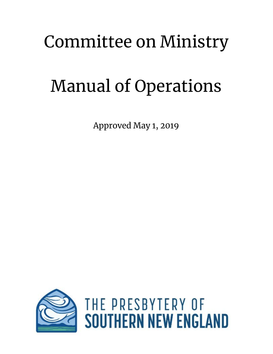# Committee on Ministry

# Manual of Operations

Approved May 1, 2019

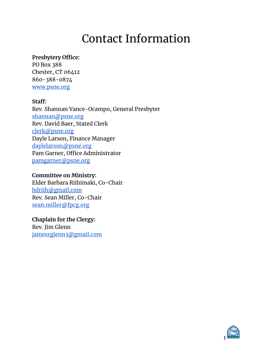# Contact Information

#### **Presbytery Office:**

PO Box 388 Chester, CT 06412 860-388-0874 [www.psne.org](http://www.psne.org/)

#### **Staff:**

Rev. Shannan Vance-Ocampo, General Presbyter [shannan@psne.org](mailto:shannan@psne.org) Rev. David Baer, Stated Clerk [clerk@psne.org](mailto:clerk@psne.org) Dayle Larson, Finance Manager [daylelarson@psne.org](mailto:daylelarson@psne.org) Pam Garner, Office Administrator [pamgarner@psne.org](mailto:pamgarner@psne.org)

#### **Committee on Ministry:**

Elder Barbara Riihimaki, Co-Chair [bdriih@gmail.com](mailto:bdriih@gmail.com) Rev. Sean Miller, Co-Chair [sean.miller@fpcg.org](mailto:sean.miller@fpcg.org)

**Chaplain for the Clergy:** Rev. Jim Glenn [jamesrglenn3@gmail.com](mailto:jamesrglenn3@gmail.com)

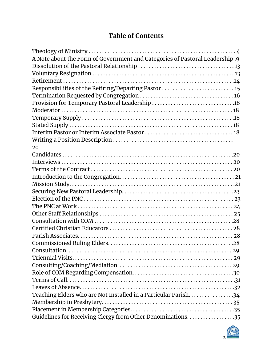# **Table of Contents**

| A Note about the Form of Government and Categories of Pastoral Leadership .9 |  |
|------------------------------------------------------------------------------|--|
|                                                                              |  |
|                                                                              |  |
|                                                                              |  |
| Responsibilities of the Retiring/Departing Pastor 15                         |  |
|                                                                              |  |
|                                                                              |  |
|                                                                              |  |
|                                                                              |  |
|                                                                              |  |
|                                                                              |  |
|                                                                              |  |
| 20                                                                           |  |
|                                                                              |  |
|                                                                              |  |
|                                                                              |  |
|                                                                              |  |
|                                                                              |  |
|                                                                              |  |
|                                                                              |  |
|                                                                              |  |
|                                                                              |  |
|                                                                              |  |
|                                                                              |  |
|                                                                              |  |
|                                                                              |  |
|                                                                              |  |
|                                                                              |  |
|                                                                              |  |
|                                                                              |  |
|                                                                              |  |
|                                                                              |  |
| Teaching Elders who are Not Installed in a Particular Parish34               |  |
|                                                                              |  |
|                                                                              |  |
|                                                                              |  |

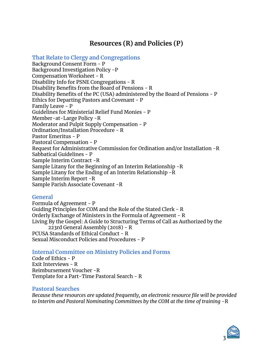### **Resources (R) and Policies (P)**

**That Relate to Clergy and Congregations** Background Consent Form - P Background Investigation Policy -P Compensation Worksheet - R Disability Info for PSNE Congregations - R Disability Benefits from the Board of Pensions - R Disability Benefits of the PC (USA) administered by the Board of Pensions - P Ethics for Departing Pastors and Covenant - P Family Leave - P Guidelines for Ministerial Relief Fund Monies - P Member-at-Large Policy -R Moderator and Pulpit Supply Compensation - P Ordination/Installation Procedure - R Pastor Emeritus - P Pastoral Compensation - P Request for Administrative Commission for Ordination and/or Installation -R Sabbatical Guidelines - P Sample Interim Contract -R Sample Litany for the Beginning of an Interim Relationship -R Sample Litany for the Ending of an Interim Relationship -R Sample Interim Report -R Sample Parish Associate Covenant -R

#### **General**

Formula of Agreement - P Guiding Principles for COM and the Role of the Stated Clerk - R Orderly Exchange of Ministers in the Formula of Agreement - R Living By the Gospel: A Guide to Structuring Terms of Call as Authorized by the 223rd General Assembly (2018) - R PCUSA Standards of Ethical Conduct - R Sexual Misconduct Policies and Procedures - P

#### **Internal Committee on Ministry Policies and Forms**

Code of Ethics - P Exit Interviews - R Reimbursement Voucher -R Template for a Part-Time Pastoral Search - R

#### **Pastoral Searches**

*Because these resources are updated frequently, an electronic resource file will be provided to Interim and Pastoral Nominating Committees by the COM at the time of training* -R

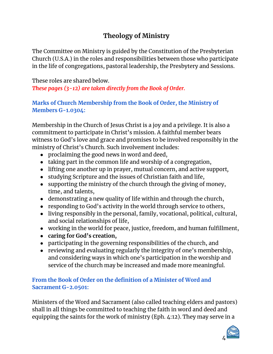# **Theology of Ministry**

The Committee on Ministry is guided by the Constitution of the Presbyterian Church (U.S.A.) in the roles and responsibilities between those who participate in the life of congregations, pastoral leadership, the Presbytery and Sessions.

These roles are shared below. *These pages (3-12) are taken directly from the Book of Order.*

#### **Marks of Church Membership from the Book of Order, the Ministry of Members G-1.0304:**

Membership in the Church of Jesus Christ is a joy and a privilege. It is also a commitment to participate in Christ's mission. A faithful member bears witness to God's love and grace and promises to be involved responsibly in the ministry of Christ's Church. Such involvement includes:

- proclaiming the good news in word and deed,
- taking part in the common life and worship of a congregation,
- lifting one another up in prayer, mutual concern, and active support*,*
- studying Scripture and the issues of Christian faith and life,
- supporting the ministry of the church through the giving of money, time, and talents,
- demonstrating a new quality of life within and through the church,
- responding to God's activity in the world through service to others,
- living responsibly in the personal, family, vocational, political, cultural, and social relationships of life,
- working in the world for peace, justice, freedom, and human fulfillment,
- **● caring for God's creation,**
- participating in the governing responsibilities of the church, and
- reviewing and evaluating regularly the integrity of one's membership, and considering ways in which one's participation in the worship and service of the church may be increased and made more meaningful.

#### **From the Book of Order on the definition of a Minister of Word and Sacrament G-2.0501:**

Ministers of the Word and Sacrament (also called teaching elders and pastors) shall in all things be committed to teaching the faith in word and deed and equipping the saints for the work of ministry (Eph. 4:12). They may serve in a

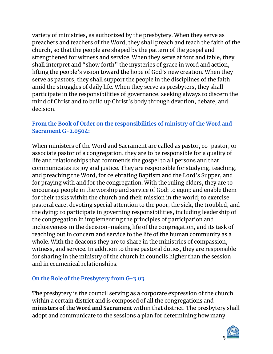variety of ministries, as authorized by the presbytery. When they serve as preachers and teachers of the Word, they shall preach and teach the faith of the church, so that the people are shaped by the pattern of the gospel and strengthened for witness and service. When they serve at font and table, they shall interpret and "show forth" the mysteries of grace in word and action, lifting the people's vision toward the hope of God's new creation. When they serve as pastors, they shall support the people in the disciplines of the faith amid the struggles of daily life. When they serve as presbyters, they shall participate in the responsibilities of governance, seeking always to discern the mind of Christ and to build up Christ's body through devotion, debate, and decision.

#### **From the Book of Order on the responsibilities of ministry of the Word and Sacrament G-2.0504:**

When ministers of the Word and Sacrament are called as pastor, co-pastor, or associate pastor of a congregation, they are to be responsible for a quality of life and relationships that commends the gospel to all persons and that communicates its joy and justice. They are responsible for studying, teaching, and preaching the Word, for celebrating Baptism and the Lord's Supper, and for praying with and for the congregation. With the ruling elders, they are to encourage people in the worship and service of God; to equip and enable them for their tasks within the church and their mission in the world; to exercise pastoral care, devoting special attention to the poor, the sick, the troubled, and the dying; to participate in governing responsibilities, including leadership of the congregation in implementing the principles of participation and inclusiveness in the decision-making life of the congregation, and its task of reaching out in concern and service to the life of the human community as a whole. With the deacons they are to share in the ministries of compassion, witness, and service. In addition to these pastoral duties, they are responsible for sharing in the ministry of the church in councils higher than the session and in ecumenical relationships.

#### **On the Role of the Presbytery from G-3.03**

The presbytery is the council serving as a corporate expression of the church within a certain district and is composed of all the congregations and **ministers of the Word and Sacrament** within that district. The presbytery shall adopt and communicate to the sessions a plan for determining how many

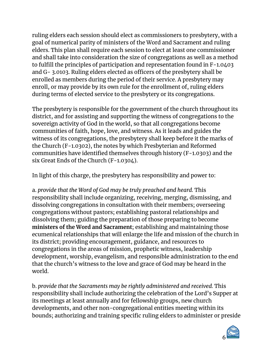ruling elders each session should elect as commissioners to presbytery, with a goal of numerical parity of ministers of the Word and Sacrament and ruling elders. This plan shall require each session to elect at least one commissioner and shall take into consideration the size of congregations as well as a method to fulfill the principles of participation and representation found in F-1.0403 and G- 3.0103. Ruling elders elected as officers of the presbytery shall be enrolled as members during the period of their service. A presbytery may enroll, or may provide by its own rule for the enrollment of, ruling elders during terms of elected service to the presbytery or its congregations.

The presbytery is responsible for the government of the church throughout its district, and for assisting and supporting the witness of congregations to the sovereign activity of God in the world, so that all congregations become communities of faith, hope, love, and witness. As it leads and guides the witness of its congregations, the presbytery shall keep before it the marks of the Church (F-1.0302), the notes by which Presbyterian and Reformed communities have identified themselves through history (F-1.0303) and the six Great Ends of the Church (F-1.0304).

In light of this charge, the presbytery has responsibility and power to:

a. *provide that the Word of God may be truly preached and heard.* This responsibility shall include organizing, receiving, merging, dismissing, and dissolving congregations in consultation with their members; overseeing congregations without pastors; establishing pastoral relationships and dissolving them; guiding the preparation of those preparing to become **ministers of the Word and Sacrament**; establishing and maintaining those ecumenical relationships that will enlarge the life and mission of the church in its district; providing encouragement, guidance, and resources to congregations in the areas of mission, prophetic witness, leadership development, worship, evangelism, and responsible administration to the end that the church's witness to the love and grace of God may be heard in the world.

b. *provide that the Sacraments may be rightly administered and received.* This responsibility shall include authorizing the celebration of the Lord's Supper at its meetings at least annually and for fellowship groups, new church developments, and other non-congregational entities meeting within its bounds; authorizing and training specific ruling elders to administer or preside

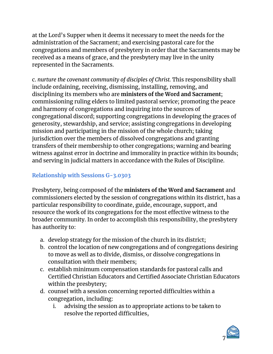at the Lord's Supper when it deems it necessary to meet the needs for the administration of the Sacrament; and exercising pastoral care for the congregations and members of presbytery in order that the Sacraments may be received as a means of grace, and the presbytery may live in the unity represented in the Sacraments.

c. *nurture the covenant community of disciples of Christ.* This responsibility shall include ordaining, receiving, dismissing, installing, removing, and disciplining its members who are **ministers of the Word and Sacrament**; commissioning ruling elders to limited pastoral service; promoting the peace and harmony of congregations and inquiring into the sources of congregational discord; supporting congregations in developing the graces of generosity, stewardship, and service; assisting congregations in developing mission and participating in the mission of the whole church; taking jurisdiction over the members of dissolved congregations and granting transfers of their membership to other congregations; warning and bearing witness against error in doctrine and immorality in practice within its bounds; and serving in judicial matters in accordance with the Rules of Discipline.

#### **Relationship with Sessions G-3.0303**

Presbytery, being composed of the **ministers of the Word and Sacrament** and commissioners elected by the session of congregations within its district, has a particular responsibility to coordinate, guide, encourage, support, and resource the work of its congregations for the most effective witness to the broader community. In order to accomplish this responsibility, the presbytery has authority to:

- a. develop strategy for the mission of the church in its district;
- b. control the location of new congregations and of congregations desiring to move as well as to divide, dismiss, or dissolve congregations in consultation with their members;
- c. establish minimum compensation standards for pastoral calls and Certified Christian Educators and Certified Associate Christian Educators within the presbytery;
- d. counsel with a session concerning reported difficulties within a congregation, including:
	- i. advising the session as to appropriate actions to be taken to resolve the reported difficulties,

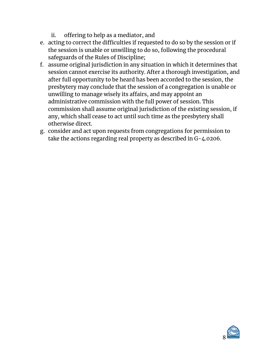- ii. offering to help as a mediator, and
- e. acting to correct the difficulties if requested to do so by the session or if the session is unable or unwilling to do so, following the procedural safeguards of the Rules of Discipline;
- f. assume original jurisdiction in any situation in which it determines that session cannot exercise its authority. After a thorough investigation, and after full opportunity to be heard has been accorded to the session, the presbytery may conclude that the session of a congregation is unable or unwilling to manage wisely its affairs, and may appoint an administrative commission with the full power of session. This commission shall assume original jurisdiction of the existing session, if any, which shall cease to act until such time as the presbytery shall otherwise direct.
- g. consider and act upon requests from congregations for permission to take the actions regarding real property as described in G-4.0206.

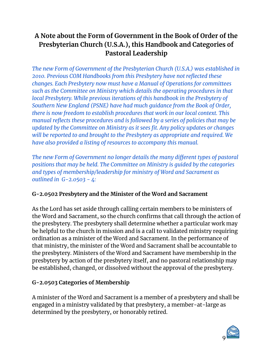## **A Note about the Form of Government in the Book of Order of the Presbyterian Church (U.S.A.), this Handbook and Categories of Pastoral Leadership**

*The new Form of Government of the Presbyterian Church (U.S.A.) was established in 2010. Previous COM Handbooks from this Presbytery have not reflected these changes. Each Presbytery now must have a Manual of Operations for committees such as the Committee on Ministry which details the operating procedures in that local Presbytery. While previous iterations of this handbook in the Presbytery of Southern New England (PSNE) have had much guidance from the Book of Order, there is now freedom to establish procedures that work in our local context. This manual reflects these procedures and is followed by a series of policies that may be updated by the Committee on Ministry as it sees fit. Any policy updates or changes will be reported to and brought to the Presbytery as appropriate and required. We have also provided a listing of resources to accompany this manual.*

*The new Form of Government no longer details the many different types of pastoral positions that may be held. The Committee on Ministry is guided by the categories and types of membership/leadership for ministry of Word and Sacrament as outlined in G-2.0503 - 4:*

#### **G-2.0502 Presbytery and the Minister of the Word and Sacrament**

As the Lord has set aside through calling certain members to be ministers of the Word and Sacrament, so the church confirms that call through the action of the presbytery. The presbytery shall determine whether a particular work may be helpful to the church in mission and is a call to validated ministry requiring ordination as a minister of the Word and Sacrament. In the performance of that ministry, the minister of the Word and Sacrament shall be accountable to the presbytery. Ministers of the Word and Sacrament have membership in the presbytery by action of the presbytery itself, and no pastoral relationship may be established, changed, or dissolved without the approval of the presbytery.

#### **G-2.0503 Categories of Membership**

A minister of the Word and Sacrament is a member of a presbytery and shall be engaged in a ministry validated by that presbytery, a member-at-large as determined by the presbytery, or honorably retired.

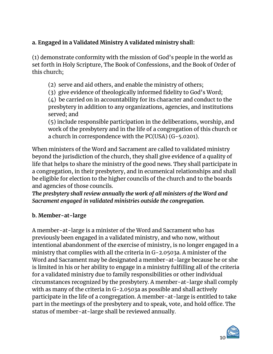#### **a. Engaged in a Validated Ministry A validated ministry shall:**

(1) demonstrate conformity with the mission of God's people in the world as set forth in Holy Scripture, The Book of Confessions, and the Book of Order of this church;

- (2) serve and aid others, and enable the ministry of others;
- (3) give evidence of theologically informed fidelity to God's Word;

(4) be carried on in accountability for its character and conduct to the presbytery in addition to any organizations, agencies, and institutions served; and

(5) include responsible participation in the deliberations, worship, and work of the presbytery and in the life of a congregation of this church or a church in correspondence with the PC(USA) (G-5.0201).

When ministers of the Word and Sacrament are called to validated ministry beyond the jurisdiction of the church, they shall give evidence of a quality of life that helps to share the ministry of the good news. They shall participate in a congregation, in their presbytery, and in ecumenical relationships and shall be eligible for election to the higher councils of the church and to the boards and agencies of those councils.

*The presbytery shall review annually the work of all ministers of the Word and Sacrament engaged in validated ministries outside the congregation.*

#### **b. Member-at-large**

A member-at-large is a minister of the Word and Sacrament who has previously been engaged in a validated ministry, and who now, without intentional abandonment of the exercise of ministry, is no longer engaged in a ministry that complies with all the criteria in G-2.0503a. A minister of the Word and Sacrament may be designated a member-at-large because he or she is limited in his or her ability to engage in a ministry fulfilling all of the criteria for a validated ministry due to family responsibilities or other individual circumstances recognized by the presbytery. A member-at-large shall comply with as many of the criteria in G-2.0503a as possible and shall actively participate in the life of a congregation. A member-at-large is entitled to take part in the meetings of the presbytery and to speak, vote, and hold office. The status of member-at-large shall be reviewed annually.

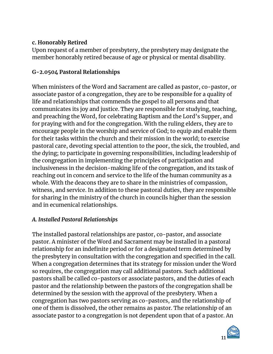#### **c. Honorably Retired**

Upon request of a member of presbytery, the presbytery may designate the member honorably retired because of age or physical or mental disability.

#### **G-2.0504 Pastoral Relationships**

When ministers of the Word and Sacrament are called as pastor, co-pastor, or associate pastor of a congregation, they are to be responsible for a quality of life and relationships that commends the gospel to all persons and that communicates its joy and justice. They are responsible for studying, teaching, and preaching the Word, for celebrating Baptism and the Lord's Supper, and for praying with and for the congregation. With the ruling elders, they are to encourage people in the worship and service of God; to equip and enable them for their tasks within the church and their mission in the world; to exercise pastoral care, devoting special attention to the poor, the sick, the troubled, and the dying; to participate in governing responsibilities, including leadership of the congregation in implementing the principles of participation and inclusiveness in the decision-making life of the congregation, and its task of reaching out in concern and service to the life of the human community as a whole. With the deacons they are to share in the ministries of compassion, witness, and service. In addition to these pastoral duties, they are responsible for sharing in the ministry of the church in councils higher than the session and in ecumenical relationships.

#### *A. Installed Pastoral Relationships*

The installed pastoral relationships are pastor, co-pastor, and associate pastor. A minister of the Word and Sacrament may be installed in a pastoral relationship for an indefinite period or for a designated term determined by the presbytery in consultation with the congregation and specified in the call. When a congregation determines that its strategy for mission under the Word so requires, the congregation may call additional pastors. Such additional pastors shall be called co-pastors or associate pastors, and the duties of each pastor and the relationship between the pastors of the congregation shall be determined by the session with the approval of the presbytery. When a congregation has two pastors serving as co-pastors, and the relationship of one of them is dissolved, the other remains as pastor. The relationship of an associate pastor to a congregation is not dependent upon that of a pastor. An

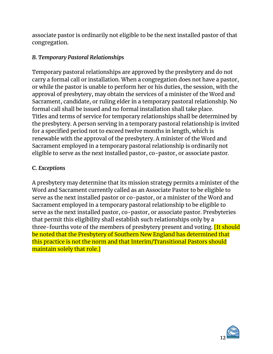associate pastor is ordinarily not eligible to be the next installed pastor of that congregation.

#### *B. Temporary Pastoral Relationships*

Temporary pastoral relationships are approved by the presbytery and do not carry a formal call or installation. When a congregation does not have a pastor, or while the pastor is unable to perform her or his duties, the session, with the approval of presbytery, may obtain the services of a minister of the Word and Sacrament, candidate, or ruling elder in a temporary pastoral relationship. No formal call shall be issued and no formal installation shall take place. Titles and terms of service for temporary relationships shall be determined by the presbytery. A person serving in a temporary pastoral relationship is invited for a specified period not to exceed twelve months in length, which is renewable with the approval of the presbytery. A minister of the Word and Sacrament employed in a temporary pastoral relationship is ordinarily not eligible to serve as the next installed pastor, co-pastor, or associate pastor.

#### **C.** *Exceptions*

A presbytery may determine that its mission strategy permits a minister of the Word and Sacrament currently called as an Associate Pastor to be eligible to serve as the next installed pastor or co-pastor, or a minister of the Word and Sacrament employed in a temporary pastoral relationship to be eligible to serve as the next installed pastor, co-pastor, or associate pastor. Presbyteries that permit this eligibility shall establish such relationships only by a three-fourths vote of the members of presbytery present and voting. [It should be noted that the Presbytery of Southern New England has determined that this practice is not the norm and that Interim/Transitional Pastors should maintain solely that role.]

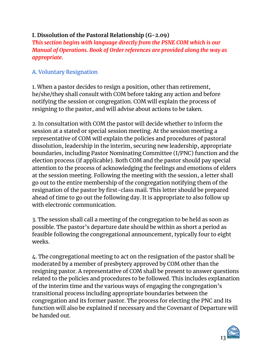#### **I. Dissolution of the Pastoral Relationship (G-2.09)**

*This section begins with language directly from the PSNE COM which is our Manual of Operations. Book of Order references are provided along the way as appropriate.*

#### A. Voluntary Resignation

1. When a pastor decides to resign a position, other than retirement, he/she/they shall consult with COM before taking any action and before notifying the session or congregation. COM will explain the process of resigning to the pastor, and will advise about actions to be taken.

2. In consultation with COM the pastor will decide whether to inform the session at a stated or special session meeting. At the session meeting a representative of COM will explain the policies and procedures of pastoral dissolution, leadership in the interim, securing new leadership, appropriate boundaries, including Pastor Nominating Committee (I/PNC) function and the election process (if applicable). Both COM and the pastor should pay special attention to the process of acknowledging the feelings and emotions of elders at the session meeting. Following the meeting with the session, a letter shall go out to the entire membership of the congregation notifying them of the resignation of the pastor by first-class mail. This letter should be prepared ahead of time to go out the following day. It is appropriate to also follow up with electronic communication.

3. The session shall call a meeting of the congregation to be held as soon as possible. The pastor's departure date should be within as short a period as feasible following the congregational announcement, typically four to eight weeks.

4. The congregational meeting to act on the resignation of the pastor shall be moderated by a member of presbytery approved by COM other than the resigning pastor. A representative of COM shall be present to answer questions related to the policies and procedures to be followed. This includes explanation of the interim time and the various ways of engaging the congregation's transitional process including appropriate boundaries between the congregation and its former pastor. The process for electing the PNC and its function will also be explained if necessary and the Covenant of Departure will be handed out.

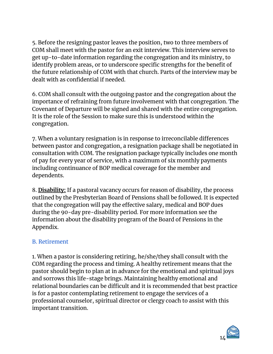5. Before the resigning pastor leaves the position, two to three members of COM shall meet with the pastor for an exit interview. This interview serves to get up-to-date information regarding the congregation and its ministry, to identify problem areas, or to underscore specific strengths for the benefit of the future relationship of COM with that church. Parts of the interview may be dealt with as confidential if needed.

6. COM shall consult with the outgoing pastor and the congregation about the importance of refraining from future involvement with that congregation. The Covenant of Departure will be signed and shared with the entire congregation. It is the role of the Session to make sure this is understood within the congregation.

7. When a voluntary resignation is in response to irreconcilable differences between pastor and congregation, a resignation package shall be negotiated in consultation with COM. The resignation package typically includes one month of pay for every year of service, with a maximum of six monthly payments including continuance of BOP medical coverage for the member and dependents.

8. **Disability:** If a pastoral vacancy occurs for reason of disability, the process outlined by the Presbyterian Board of Pensions shall be followed. It is expected that the congregation will pay the effective salary, medical and BOP dues during the 90-day pre-disability period. For more information see the information about the disability program of the Board of Pensions in the Appendix.

#### B. Retirement

1. When a pastor is considering retiring, he/she/they shall consult with the COM regarding the process and timing. A healthy retirement means that the pastor should begin to plan at in advance for the emotional and spiritual joys and sorrows this life-stage brings. Maintaining healthy emotional and relational boundaries can be difficult and it is recommended that best practice is for a pastor contemplating retirement to engage the services of a professional counselor, spiritual director or clergy coach to assist with this important transition.

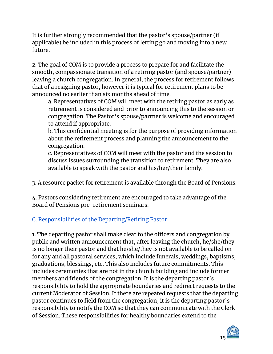It is further strongly recommended that the pastor's spouse/partner (if applicable) be included in this process of letting go and moving into a new future.

2. The goal of COM is to provide a process to prepare for and facilitate the smooth, compassionate transition of a retiring pastor (and spouse/partner) leaving a church congregation. In general, the process for retirement follows that of a resigning pastor, however it is typical for retirement plans to be announced no earlier than six months ahead of time.

a. Representatives of COM will meet with the retiring pastor as early as retirement is considered and prior to announcing this to the session or congregation. The Pastor's spouse/partner is welcome and encouraged to attend if appropriate.

b. This confidential meeting is for the purpose of providing information about the retirement process and planning the announcement to the congregation.

c. Representatives of COM will meet with the pastor and the session to discuss issues surrounding the transition to retirement. They are also available to speak with the pastor and his/her/their family.

3. A resource packet for retirement is available through the Board of Pensions.

4. Pastors considering retirement are encouraged to take advantage of the Board of Pensions pre-retirement seminars.

### C. Responsibilities of the Departing/Retiring Pastor:

1. The departing pastor shall make clear to the officers and congregation by public and written announcement that, after leaving the church, he/she/they is no longer their pastor and that he/she/they is not available to be called on for any and all pastoral services, which include funerals, weddings, baptisms, graduations, blessings, etc. This also includes future commitments. This includes ceremonies that are not in the church building and include former members and friends of the congregation. It is the departing pastor's responsibility to hold the appropriate boundaries and redirect requests to the current Moderator of Session. If there are repeated requests that the departing pastor continues to field from the congregation, it is the departing pastor's responsibility to notify the COM so that they can communicate with the Clerk of Session. These responsibilities for healthy boundaries extend to the

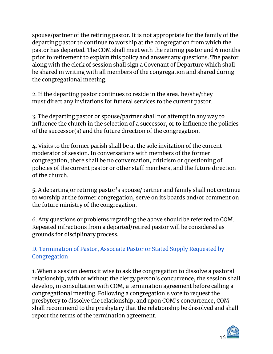spouse/partner of the retiring pastor. It is not appropriate for the family of the departing pastor to continue to worship at the congregation from which the pastor has departed. The COM shall meet with the retiring pastor and 6 months prior to retirement to explain this policy and answer any questions. The pastor along with the clerk of session shall sign a Covenant of Departure which shall be shared in writing with all members of the congregation and shared during the congregational meeting.

2. If the departing pastor continues to reside in the area, he/she/they must direct any invitations for funeral services to the current pastor.

3. The departing pastor or spouse/partner shall not attempt in any way to influence the church in the selection of a successor, or to influence the policies of the successor(s) and the future direction of the congregation.

4. Visits to the former parish shall be at the sole invitation of the current moderator of session. In conversations with members of the former congregation, there shall be no conversation, criticism or questioning of policies of the current pastor or other staff members, and the future direction of the church.

5. A departing or retiring pastor's spouse/partner and family shall not continue to worship at the former congregation, serve on its boards and/or comment on the future ministry of the congregation.

6. Any questions or problems regarding the above should be referred to COM. Repeated infractions from a departed/retired pastor will be considered as grounds for disciplinary process.

D. Termination of Pastor, Associate Pastor or Stated Supply Requested by Congregation

1. When a session deems it wise to ask the congregation to dissolve a pastoral relationship, with or without the clergy person's concurrence, the session shall develop, in consultation with COM, a termination agreement before calling a congregational meeting. Following a congregation's vote to request the presbytery to dissolve the relationship, and upon COM's concurrence, COM shall recommend to the presbytery that the relationship be dissolved and shall report the terms of the termination agreement.

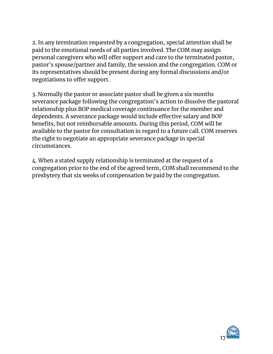2. In any termination requested by a congregation, special attention shall be paid to the emotional needs of all parties involved. The COM may assign personal caregivers who will offer support and care to the terminated pastor, pastor's spouse/partner and family, the session and the congregation. COM or its representatives should be present during any formal discussions and/or negotiations to offer support.

3. Normally the pastor or associate pastor shall be given a six months severance package following the congregation's action to dissolve the pastoral relationship plus BOP medical coverage continuance for the member and dependents. A severance package would include effective salary and BOP benefits, but not reimbursable amounts. During this period, COM will be available to the pastor for consultation in regard to a future call. COM reserves the right to negotiate an appropriate severance package in special circumstances.

4. When a stated supply relationship is terminated at the request of a congregation prior to the end of the agreed term, COM shall recommend to the presbytery that six weeks of compensation be paid by the congregation.

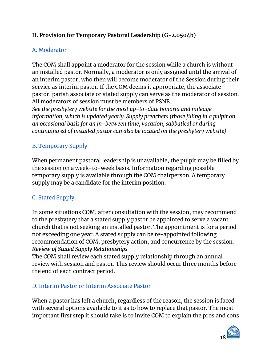#### **II. Provision for Temporary Pastoral Leadership (G-2.0504b)**

#### A. Moderator

The COM shall appoint a moderator for the session while a church is without an installed pastor. Normally, a moderator is only assigned until the arrival of an interim pastor, who then will become moderator of the Session during their service as interim pastor. If the COM deems it appropriate, the associate pastor, parish associate or stated supply can serve as the moderator of session. All moderators of session must be members of PSNE.

*See the presbytery website for the most up-to-date honoria and mileage information, which is updated yearly. Supply preachers (those filling in a pulpit on an occasional basis for an in-between time, vacation, sabbatical or during continuing ed of installed pastor can also be located on the presbytery website).*

#### B. Temporary Supply

When permanent pastoral leadership is unavailable, the pulpit may be filled by the session on a week-to-week basis. Information regarding possible temporary supply is available through the COM chairperson. A temporary supply may be a candidate for the interim position.

#### C. Stated Supply

In some situations COM, after consultation with the session, may recommend to the presbytery that a stated supply pastor be appointed to serve a vacant church that is not seeking an installed pastor. The appointment is for a period not exceeding one year. A stated supply can be re-appointed following recommendation of COM, presbytery action, and concurrence by the session. *Review of Stated Supply Relationships*

The COM shall review each stated supply relationship through an annual review with session and pastor. This review should occur three months before the end of each contract period.

#### D. Interim Pastor or Interim Associate Pastor

When a pastor has left a church, regardless of the reason, the session is faced with several options available to it as to how to replace that pastor. The most important first step it should take is to invite COM to explain the pros and cons

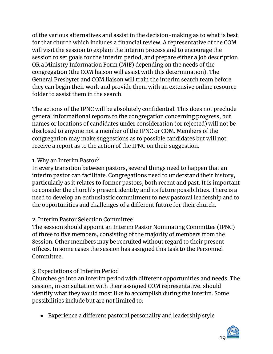of the various alternatives and assist in the decision-making as to what is best for that church which includes a financial review. A representative of the COM will visit the session to explain the interim process and to encourage the session to set goals for the interim period, and prepare either a job description OR a Ministry Information Form (MIF) depending on the needs of the congregation (the COM liaison will assist with this determination). The General Presbyter and COM liaison will train the interim search team before they can begin their work and provide them with an extensive online resource folder to assist them in the search.

The actions of the IPNC will be absolutely confidential. This does not preclude general informational reports to the congregation concerning progress, but names or locations of candidates under consideration (or rejected) will not be disclosed to anyone not a member of the IPNC or COM. Members of the congregation may make suggestions as to possible candidates but will not receive a report as to the action of the IPNC on their suggestion.

#### 1. Why an Interim Pastor?

In every transition between pastors, several things need to happen that an interim pastor can facilitate. Congregations need to understand their history, particularly as it relates to former pastors, both recent and past. It is important to consider the church's present identity and its future possibilities. There is a need to develop an enthusiastic commitment to new pastoral leadership and to the opportunities and challenges of a different future for their church.

#### 2. Interim Pastor Selection Committee

The session should appoint an Interim Pastor Nominating Committee (IPNC) of three to five members, consisting of the majority of members from the Session. Other members may be recruited without regard to their present offices. In some cases the session has assigned this task to the Personnel Committee.

#### 3. Expectations of Interim Period

Churches go into an interim period with different opportunities and needs. The session, in consultation with their assigned COM representative, should identify what they would most like to accomplish during the interim. Some possibilities include but are not limited to:

● Experience a different pastoral personality and leadership style

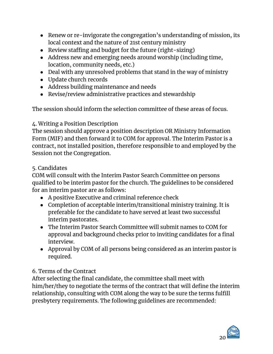- Renew or re-invigorate the congregation's understanding of mission, its local context and the nature of 21st century ministry
- Review staffing and budget for the future (right-sizing)
- Address new and emerging needs around worship (including time, location, community needs, etc.)
- Deal with any unresolved problems that stand in the way of ministry
- Update church records
- Address building maintenance and needs
- Revise/review administrative practices and stewardship

The session should inform the selection committee of these areas of focus.

#### 4. Writing a Position Description

The session should approve a position description OR Ministry Information Form (MIF) and then forward it to COM for approval. The Interim Pastor is a contract, not installed position, therefore responsible to and employed by the Session not the Congregation.

#### 5. Candidates

COM will consult with the Interim Pastor Search Committee on persons qualified to be interim pastor for the church. The guidelines to be considered for an interim pastor are as follows:

- A positive Executive and criminal reference check
- Completion of acceptable interim/transitional ministry training. It is preferable for the candidate to have served at least two successful interim pastorates.
- The Interim Pastor Search Committee will submit names to COM for approval and background checks prior to inviting candidates for a final interview.
- Approval by COM of all persons being considered as an interim pastor is required.

#### 6. Terms of the Contract

After selecting the final candidate, the committee shall meet with him/her/they to negotiate the terms of the contract that will define the interim relationship, consulting with COM along the way to be sure the terms fulfill presbytery requirements. The following guidelines are recommended:

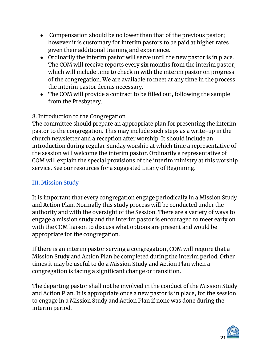- Compensation should be no lower than that of the previous pastor; however it is customary for interim pastors to be paid at higher rates given their additional training and experience.
- Ordinarily the interim pastor will serve until the new pastor is in place. The COM will receive reports every six months from the interim pastor, which will include time to check in with the interim pastor on progress of the congregation. We are available to meet at any time in the process the interim pastor deems necessary.
- The COM will provide a contract to be filled out, following the sample from the Presbytery.

#### 8. Introduction to the Congregation

The committee should prepare an appropriate plan for presenting the interim pastor to the congregation. This may include such steps as a write-up in the church newsletter and a reception after worship. It should include an introduction during regular Sunday worship at which time a representative of the session will welcome the interim pastor. Ordinarily a representative of COM will explain the special provisions of the interim ministry at this worship service. See our resources for a suggested Litany of Beginning.

#### III. Mission Study

It is important that every congregation engage periodically in a Mission Study and Action Plan. Normally this study process will be conducted under the authority and with the oversight of the Session. There are a variety of ways to engage a mission study and the interim pastor is encouraged to meet early on with the COM liaison to discuss what options are present and would be appropriate for the congregation.

If there is an interim pastor serving a congregation, COM will require that a Mission Study and Action Plan be completed during the interim period. Other times it may be useful to do a Mission Study and Action Plan when a congregation is facing a significant change or transition.

The departing pastor shall not be involved in the conduct of the Mission Study and Action Plan. It is appropriate once a new pastor is in place, for the session to engage in a Mission Study and Action Plan if none was done during the interim period.

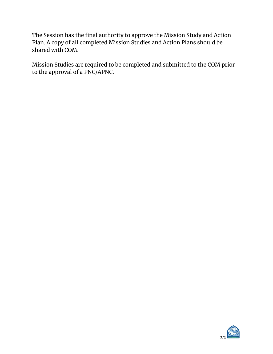The Session has the final authority to approve the Mission Study and Action Plan. A copy of all completed Mission Studies and Action Plans should be shared with COM.

Mission Studies are required to be completed and submitted to the COM prior to the approval of a PNC/APNC.

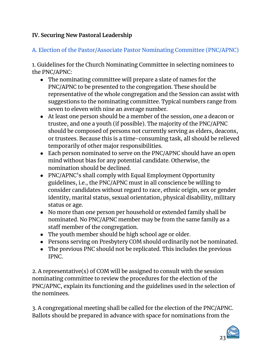#### **IV. Securing New Pastoral Leadership**

#### A. Election of the Pastor/Associate Pastor Nominating Committee (PNC/APNC)

1. Guidelines for the Church Nominating Committee in selecting nominees to the PNC/APNC:

- The nominating committee will prepare a slate of names for the PNC/APNC to be presented to the congregation. These should be representative of the whole congregation and the Session can assist with suggestions to the nominating committee. Typical numbers range from seven to eleven with nine an average number.
- At least one person should be a member of the session, one a deacon or trustee, and one a youth (if possible). The majority of the PNC/APNC should be composed of persons not currently serving as elders, deacons, or trustees. Because this is a time-consuming task, all should be relieved temporarily of other major responsibilities.
- Each person nominated to serve on the PNC/APNC should have an open mind without bias for any potential candidate. Otherwise, the nomination should be declined.
- PNC/APNC's shall comply with Equal Employment Opportunity guidelines, i.e., the PNC/APNC must in all conscience be willing to consider candidates without regard to race, ethnic origin, sex or gender identity, marital status, sexual orientation, physical disability, military status or age.
- No more than one person per household or extended family shall be nominated. No PNC/APNC member may be from the same family as a staff member of the congregation.
- The youth member should be high school age or older.
- Persons serving on Presbytery COM should ordinarily not be nominated.
- The previous PNC should not be replicated. This includes the previous IPNC.

2. A representative(s) of COM will be assigned to consult with the session nominating committee to review the procedures for the election of the PNC/APNC, explain its functioning and the guidelines used in the selection of the nominees.

3. A congregational meeting shall be called for the election of the PNC/APNC. Ballots should be prepared in advance with space for nominations from the

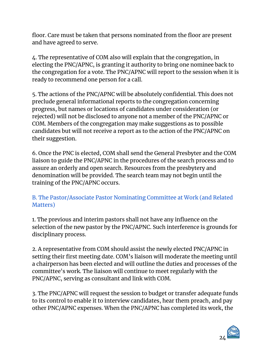floor. Care must be taken that persons nominated from the floor are present and have agreed to serve.

4. The representative of COM also will explain that the congregation, in electing the PNC/APNC, is granting it authority to bring one nominee back to the congregation for a vote. The PNC/APNC will report to the session when it is ready to recommend one person for a call.

5. The actions of the PNC/APNC will be absolutely confidential. This does not preclude general informational reports to the congregation concerning progress, but names or locations of candidates under consideration (or rejected) will not be disclosed to anyone not a member of the PNC/APNC or COM. Members of the congregation may make suggestions as to possible candidates but will not receive a report as to the action of the PNC/APNC on their suggestion.

6. Once the PNC is elected, COM shall send the General Presbyter and the COM liaison to guide the PNC/APNC in the procedures of the search process and to assure an orderly and open search. Resources from the presbytery and denomination will be provided. The search team may not begin until the training of the PNC/APNC occurs.

#### B. The Pastor/Associate Pastor Nominating Committee at Work (and Related Matters)

1. The previous and interim pastors shall not have any influence on the selection of the new pastor by the PNC/APNC. Such interference is grounds for disciplinary process.

2. A representative from COM should assist the newly elected PNC/APNC in setting their first meeting date. COM's liaison will moderate the meeting until a chairperson has been elected and will outline the duties and processes of the committee's work. The liaison will continue to meet regularly with the PNC/APNC, serving as consultant and link with COM.

3. The PNC/APNC will request the session to budget or transfer adequate funds to its control to enable it to interview candidates, hear them preach, and pay other PNC/APNC expenses. When the PNC/APNC has completed its work, the

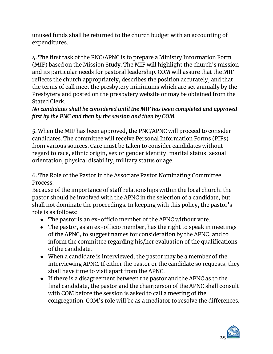unused funds shall be returned to the church budget with an accounting of expenditures.

4. The first task of the PNC/APNC is to prepare a Ministry Information Form (MIF) based on the Mission Study. The MIF will highlight the church's mission and its particular needs for pastoral leadership. COM will assure that the MIF reflects the church appropriately, describes the position accurately, and that the terms of call meet the presbytery minimums which are set annually by the Presbytery and posted on the presbytery website or may be obtained from the Stated Clerk.

#### *No candidates shall be considered until the MIF has been completed and approved first by the PNC and then by the session and then by COM.*

5. When the MIF has been approved, the PNC/APNC will proceed to consider candidates. The committee will receive Personal Information Forms (PIFs) from various sources. Care must be taken to consider candidates without regard to race, ethnic origin, sex or gender identity, marital status, sexual orientation, physical disability, military status or age.

6. The Role of the Pastor in the Associate Pastor Nominating Committee Process.

Because of the importance of staff relationships within the local church, the pastor should be involved with the APNC in the selection of a candidate, but shall not dominate the proceedings. In keeping with this policy, the pastor's role is as follows:

- The pastor is an ex-officio member of the APNC without vote.
- The pastor, as an ex-officio member, has the right to speak in meetings of the APNC, to suggest names for consideration by the APNC, and to inform the committee regarding his/her evaluation of the qualifications of the candidate.
- When a candidate is interviewed, the pastor may be a member of the interviewing APNC. If either the pastor or the candidate so requests, they shall have time to visit apart from the APNC.
- If there is a disagreement between the pastor and the APNC as to the final candidate, the pastor and the chairperson of the APNC shall consult with COM before the session is asked to call a meeting of the congregation. COM's role will be as a mediator to resolve the differences.

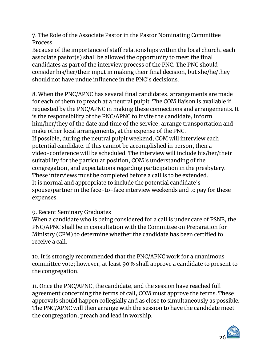7. The Role of the Associate Pastor in the Pastor Nominating Committee Process.

Because of the importance of staff relationships within the local church, each associate pastor(s) shall be allowed the opportunity to meet the final candidates as part of the interview process of the PNC. The PNC should consider his/her/their input in making their final decision, but she/he/they should not have undue influence in the PNC's decisions.

8. When the PNC/APNC has several final candidates, arrangements are made for each of them to preach at a neutral pulpit. The COM liaison is available if requested by the PNC/APNC in making these connections and arrangements. It is the responsibility of the PNC/APNC to invite the candidate, inform him/her/they of the date and time of the service, arrange transportation and make other local arrangements, at the expense of the PNC. If possible, during the neutral pulpit weekend, COM will interview each potential candidate. If this cannot be accomplished in person, then a video-conference will be scheduled. The interview will include his/her/their suitability for the particular position, COM's understanding of the congregation, and expectations regarding participation in the presbytery. These interviews must be completed before a call is to be extended. It is normal and appropriate to include the potential candidate's spouse/partner in the face-to-face interview weekends and to pay for these expenses.

#### 9. Recent Seminary Graduates

When a candidate who is being considered for a call is under care of PSNE, the PNC/APNC shall be in consultation with the Committee on Preparation for Ministry (CPM) to determine whether the candidate has been certified to receive a call.

10. It is strongly recommended that the PNC/APNC work for a unanimous committee vote; however, at least 90% shall approve a candidate to present to the congregation.

11. Once the PNC/APNC, the candidate, and the session have reached full agreement concerning the terms of call, COM must approve the terms. These approvals should happen collegially and as close to simultaneously as possible. The PNC/APNC will then arrange with the session to have the candidate meet the congregation, preach and lead in worship.

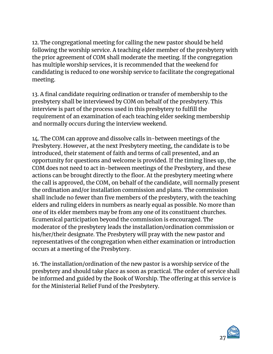12. The congregational meeting for calling the new pastor should be held following the worship service. A teaching elder member of the presbytery with the prior agreement of COM shall moderate the meeting. If the congregation has multiple worship services, it is recommended that the weekend for candidating is reduced to one worship service to facilitate the congregational meeting.

13. A final candidate requiring ordination or transfer of membership to the presbytery shall be interviewed by COM on behalf of the presbytery. This interview is part of the process used in this presbytery to fulfill the requirement of an examination of each teaching elder seeking membership and normally occurs during the interview weekend.

14. The COM can approve and dissolve calls in-between meetings of the Presbytery. However, at the next Presbytery meeting, the candidate is to be introduced, their statement of faith and terms of call presented, and an opportunity for questions and welcome is provided. If the timing lines up, the COM does not need to act in-between meetings of the Presbytery, and these actions can be brought directly to the floor. At the presbytery meeting where the call is approved, the COM, on behalf of the candidate, will normally present the ordination and/or installation commission and plans. The commission shall include no fewer than five members of the presbytery, with the teaching elders and ruling elders in numbers as nearly equal as possible. No more than one of its elder members may be from any one of its constituent churches. Ecumenical participation beyond the commission is encouraged. The moderator of the presbytery leads the installation/ordination commission or his/her/their designate. The Presbytery will pray with the new pastor and representatives of the congregation when either examination or introduction occurs at a meeting of the Presbytery.

16. The installation/ordination of the new pastor is a worship service of the presbytery and should take place as soon as practical. The order of service shall be informed and guided by the Book of Worship. The offering at this service is for the Ministerial Relief Fund of the Presbytery.

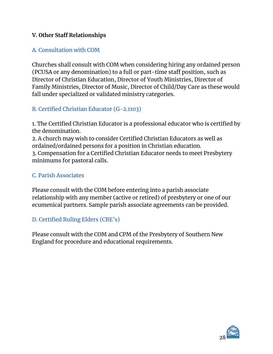#### **V. Other Staff Relationships**

#### A. Consultation with COM

Churches shall consult with COM when considering hiring any ordained person (PCUSA or any denomination) to a full or part-time staff position, such as Director of Christian Education, Director of Youth Ministries, Director of Family Ministries, Director of Music, Director of Child/Day Care as these would fall under specialized or validated ministry categories.

#### B. Certified Christian Educator (G-2.1103)

1. The Certified Christian Educator is a professional educator who is certified by the denomination.

2. A church may wish to consider Certified Christian Educators as well as ordained/ordained persons for a position in Christian education. 3. Compensation for a Certified Christian Educator needs to meet Presbytery

minimums for pastoral calls.

#### C. Parish Associates

Please consult with the COM before entering into a parish associate relationship with any member (active or retired) of presbytery or one of our ecumenical partners. Sample parish associate agreements can be provided.

#### D. Certified Ruling Elders (CRE's)

Please consult with the COM and CPM of the Presbytery of Southern New England for procedure and educational requirements.

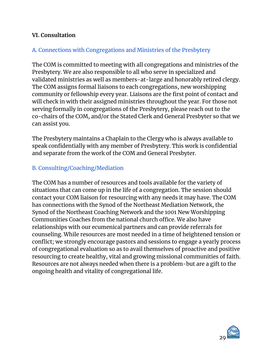#### **VI. Consultation**

#### A. Connections with Congregations and Ministries of the Presbytery

The COM is committed to meeting with all congregations and ministries of the Presbytery. We are also responsible to all who serve in specialized and validated ministries as well as members-at-large and honorably retired clergy. The COM assigns formal liaisons to each congregations, new worshipping community or fellowship every year. Liaisons are the first point of contact and will check in with their assigned ministries throughout the year. For those not serving formally in congregations of the Presbytery, please reach out to the co-chairs of the COM, and/or the Stated Clerk and General Presbyter so that we can assist you.

The Presbytery maintains a Chaplain to the Clergy who is always available to speak confidentially with any member of Presbytery. This work is confidential and separate from the work of the COM and General Presbyter.

#### B. Consulting/Coaching/Mediation

The COM has a number of resources and tools available for the variety of situations that can come up in the life of a congregation. The session should contact your COM liaison for resourcing with any needs it may have. The COM has connections with the Synod of the Northeast Mediation Network, the Synod of the Northeast Coaching Network and the 1001 New Worshipping Communities Coaches from the national church office. We also have relationships with our ecumenical partners and can provide referrals for counseling. While resources are most needed in a time of heightened tension or conflict; we strongly encourage pastors and sessions to engage a yearly process of congregational evaluation so as to avail themselves of proactive and positive resourcing to create healthy, vital and growing missional communities of faith. Resources are not always needed when there is a problem-but are a gift to the ongoing health and vitality of congregational life.

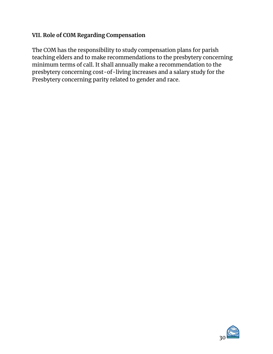#### **VII. Role of COM Regarding Compensation**

The COM has the responsibility to study compensation plans for parish teaching elders and to make recommendations to the presbytery concerning minimum terms of call. It shall annually make a recommendation to the presbytery concerning cost-of-living increases and a salary study for the Presbytery concerning parity related to gender and race.

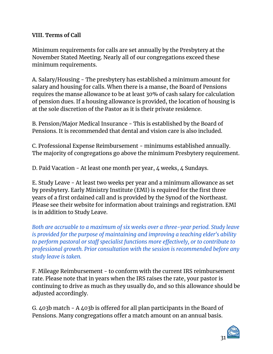#### **VIII. Terms of Call**

Minimum requirements for calls are set annually by the Presbytery at the November Stated Meeting. Nearly all of our congregations exceed these minimum requirements.

A. Salary/Housing - The presbytery has established a minimum amount for salary and housing for calls. When there is a manse, the Board of Pensions requires the manse allowance to be at least 30% of cash salary for calculation of pension dues. If a housing allowance is provided, the location of housing is at the sole discretion of the Pastor as it is their private residence.

B. Pension/Major Medical Insurance - This is established by the Board of Pensions. It is recommended that dental and vision care is also included.

C. Professional Expense Reimbursement - minimums established annually. The majority of congregations go above the minimum Presbytery requirement.

D. Paid Vacation - At least one month per year, 4 weeks, 4 Sundays.

E. Study Leave - At least two weeks per year and a minimum allowance as set by presbytery. Early Ministry Institute (EMI) is required for the first three years of a first ordained call and is provided by the Synod of the Northeast. Please see their website for information about trainings and registration. EMI is in addition to Study Leave.

*Both are accruable to a maximum of six weeks over a three-year period. Study leave is provided for the purpose of maintaining and improving a teaching elder's ability to perform pastoral or staff specialist functions more effectively, or to contribute to professional growth. Prior consultation with the session is recommended before any study leave is taken.*

F. Mileage Reimbursement - to conform with the current IRS reimbursement rate. Please note that in years when the IRS raises the rate, your pastor is continuing to drive as much as they usually do, and so this allowance should be adjusted accordingly.

G. 403b match - A 403b is offered for all plan participants in the Board of Pensions. Many congregations offer a match amount on an annual basis.

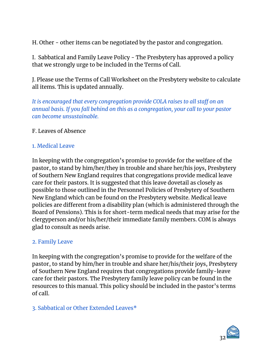H. Other - other items can be negotiated by the pastor and congregation.

I. Sabbatical and Family Leave Policy - The Presbytery has approved a policy that we strongly urge to be included in the Terms of Call.

J. Please use the Terms of Call Worksheet on the Presbytery website to calculate all items. This is updated annually.

*It is encouraged that every congregation provide COLA raises to all staff on an annual basis. If you fall behind on this as a congregation, your call to your pastor can become unsustainable.*

#### F. Leaves of Absence

#### 1. Medical Leave

In keeping with the congregation's promise to provide for the welfare of the pastor, to stand by him/her/they in trouble and share her/his joys, Presbytery of Southern New England requires that congregations provide medical leave care for their pastors. It is suggested that this leave dovetail as closely as possible to those outlined in the Personnel Policies of Presbytery of Southern New England which can be found on the Presbytery website. Medical leave policies are different from a disability plan (which is administered through the Board of Pensions). This is for short-term medical needs that may arise for the clergyperson and/or his/her/their immediate family members. COM is always glad to consult as needs arise.

#### 2. Family Leave

In keeping with the congregation's promise to provide for the welfare of the pastor, to stand by him/her in trouble and share her/his/their joys, Presbytery of Southern New England requires that congregations provide family-leave care for their pastors. The Presbytery family leave policy can be found in the resources to this manual. This policy should be included in the pastor's terms of call.

#### 3. Sabbatical or Other Extended Leaves\*

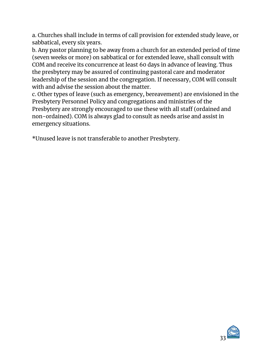a. Churches shall include in terms of call provision for extended study leave, or sabbatical, every six years.

b. Any pastor planning to be away from a church for an extended period of time (seven weeks or more) on sabbatical or for extended leave, shall consult with COM and receive its concurrence at least 60 days in advance of leaving. Thus the presbytery may be assured of continuing pastoral care and moderator leadership of the session and the congregation. If necessary, COM will consult with and advise the session about the matter.

c. Other types of leave (such as emergency, bereavement) are envisioned in the Presbytery Personnel Policy and congregations and ministries of the Presbytery are strongly encouraged to use these with all staff (ordained and non-ordained). COM is always glad to consult as needs arise and assist in emergency situations.

\*Unused leave is not transferable to another Presbytery.

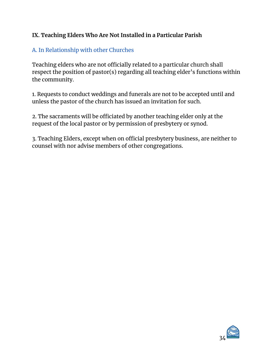#### **IX. Teaching Elders Who Are Not Installed in a Particular Parish**

#### A. In Relationship with other Churches

Teaching elders who are not officially related to a particular church shall respect the position of pastor(s) regarding all teaching elder's functions within the community.

1. Requests to conduct weddings and funerals are not to be accepted until and unless the pastor of the church has issued an invitation for such.

2. The sacraments will be officiated by another teaching elder only at the request of the local pastor or by permission of presbytery or synod.

3. Teaching Elders, except when on official presbytery business, are neither to counsel with nor advise members of other congregations.

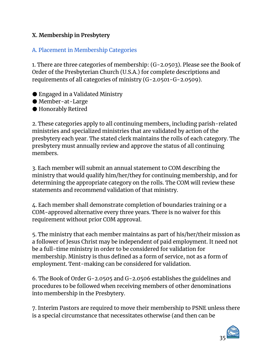#### **X. Membership in Presbytery**

#### A. Placement in Membership Categories

1. There are three categories of membership: (G-2.0503). Please see the Book of Order of the Presbyterian Church (U.S.A.) for complete descriptions and requirements of all categories of ministry (G-2.0501-G-2.0509).

- Engaged in a Validated Ministry
- Member-at-Large
- Honorably Retired

2. These categories apply to all continuing members, including parish-related ministries and specialized ministries that are validated by action of the presbytery each year. The stated clerk maintains the rolls of each category. The presbytery must annually review and approve the status of all continuing members.

3. Each member will submit an annual statement to COM describing the ministry that would qualify him/her/they for continuing membership, and for determining the appropriate category on the rolls. The COM will review these statements and recommend validation of that ministry.

4. Each member shall demonstrate completion of boundaries training or a COM-approved alternative every three years. There is no waiver for this requirement without prior COM approval.

5. The ministry that each member maintains as part of his/her/their mission as a follower of Jesus Christ may be independent of paid employment. It need not be a full-time ministry in order to be considered for validation for membership. Ministry is thus defined as a form of service, not as a form of employment. Tent-making can be considered for validation.

6. The Book of Order G-2.0505 and G-2.0506 establishes the guidelines and procedures to be followed when receiving members of other denominations into membership in the Presbytery.

7. Interim Pastors are required to move their membership to PSNE unless there is a special circumstance that necessitates otherwise (and then can be